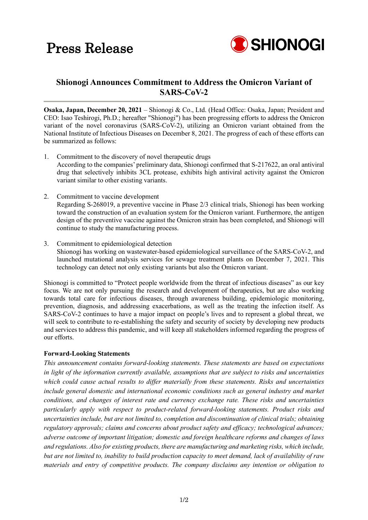

## **Shionogi Announces Commitment to Address the Omicron Variant of SARS-CoV-2**

**Osaka, Japan, December 20, 2021** – Shionogi & Co., Ltd. (Head Office: Osaka, Japan; President and CEO: Isao Teshirogi, Ph.D.; hereafter "Shionogi") has been progressing efforts to address the Omicron variant of the novel coronavirus (SARS-CoV-2), utilizing an Omicron variant obtained from the National Institute of Infectious Diseases on December 8, 2021. The progress of each of these efforts can be summarized as follows:

- 1. Commitment to the discovery of novel therapeutic drugs According to the companies' preliminary data, Shionogi confirmed that S-217622, an oral antiviral drug that selectively inhibits 3CL protease, exhibits high antiviral activity against the Omicron variant similar to other existing variants.
- 2. Commitment to vaccine development Regarding S-268019, a preventive vaccine in Phase 2/3 clinical trials, Shionogi has been working toward the construction of an evaluation system for the Omicron variant. Furthermore, the antigen design of the preventive vaccine against the Omicron strain has been completed, and Shionogi will continue to study the manufacturing process.
- 3. Commitment to epidemiological detection Shionogi has working on wastewater-based epidemiological surveillance of the SARS-CoV-2, and launched mutational analysis services for sewage treatment plants on December 7, 2021. This technology can detect not only existing variants but also the Omicron variant.

Shionogi is committed to "Protect people worldwide from the threat of infectious diseases" as our key focus. We are not only pursuing the research and development of therapeutics, but are also working towards total care for infectious diseases, through awareness building, epidemiologic monitoring, prevention, diagnosis, and addressing exacerbations, as well as the treating the infection itself. As SARS-CoV-2 continues to have a major impact on people's lives and to represent a global threat, we will seek to contribute to re-establishing the safety and security of society by developing new products and services to address this pandemic, and will keep all stakeholders informed regarding the progress of our efforts.

## **Forward-Looking Statements**

*This announcement contains forward-looking statements. These statements are based on expectations in light of the information currently available, assumptions that are subject to risks and uncertainties which could cause actual results to differ materially from these statements. Risks and uncertainties include general domestic and international economic conditions such as general industry and market conditions, and changes of interest rate and currency exchange rate. These risks and uncertainties particularly apply with respect to product-related forward-looking statements. Product risks and uncertainties include, but are not limited to, completion and discontinuation of clinical trials; obtaining regulatory approvals; claims and concerns about product safety and efficacy; technological advances; adverse outcome of important litigation; domestic and foreign healthcare reforms and changes of laws and regulations. Also for existing products, there are manufacturing and marketing risks, which include, but are not limited to, inability to build production capacity to meet demand, lack of availability of raw materials and entry of competitive products. The company disclaims any intention or obligation to*